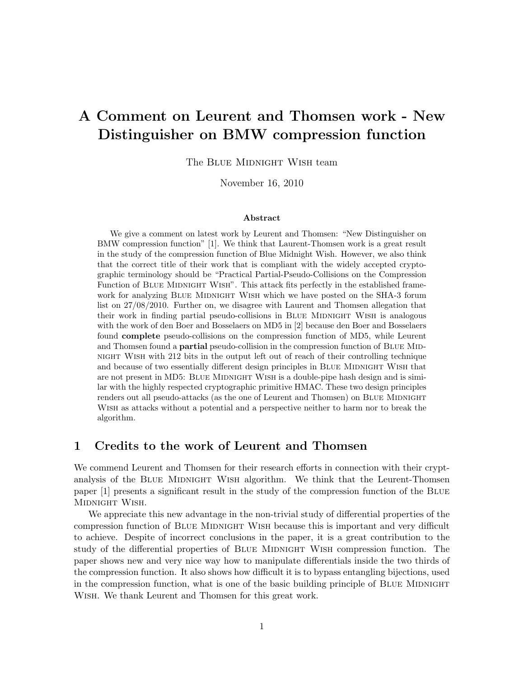# **A Comment on Leurent and Thomsen work - New Distinguisher on BMW compression function**

The BLUE MIDNIGHT WISH team

November 16, 2010

#### **Abstract**

We give a comment on latest work by Leurent and Thomsen: "New Distinguisher on BMW compression function" [1]. We think that Laurent-Thomsen work is a great result in the study of the compression function of Blue Midnight Wish. However, we also think that the correct title of their work that is compliant with the widely accepted cryptographic terminology should be "Practical Partial-Pseudo-Collisions on the Compression Function of BLUE MIDNIGHT WISH". This attack fits perfectly in the established framework for analyzing BLUE MIDNIGHT WISH which we have posted on the SHA-3 forum list on 27/08/2010. Further on, we disagree with Laurent and Thomsen allegation that their work in finding partial pseudo-collisions in BLUE MIDNIGHT WISH is analogous with the work of den Boer and Bosselaers on MD5 in [2] because den Boer and Bosselaers found **complete** pseudo-collisions on the compression function of MD5, while Leurent and Thomsen found a **partial** pseudo-collision in the compression function of BLUE MIDnight Wish with 212 bits in the output left out of reach of their controlling technique and because of two essentially different design principles in BLUE MIDNIGHT WISH that are not present in MD5: BLUE MIDNIGHT WISH is a double-pipe hash design and is similar with the highly respected cryptographic primitive HMAC. These two design principles renders out all pseudo-attacks (as the one of Leurent and Thomsen) on BLUE MIDNIGHT Wish as attacks without a potential and a perspective neither to harm nor to break the algorithm.

#### **1 Credits to the work of Leurent and Thomsen**

We commend Leurent and Thomsen for their research efforts in connection with their cryptanalysis of the BLUE MIDNIGHT WISH algorithm. We think that the Leurent-Thomsen paper [1] presents a significant result in the study of the compression function of the Blue MIDNIGHT WISH.

We appreciate this new advantage in the non-trivial study of differential properties of the compression function of BLUE MIDNIGHT WISH because this is important and very difficult to achieve. Despite of incorrect conclusions in the paper, it is a great contribution to the study of the differential properties of BLUE MIDNIGHT WISH compression function. The paper shows new and very nice way how to manipulate differentials inside the two thirds of the compression function. It also shows how difficult it is to bypass entangling bijections, used in the compression function, what is one of the basic building principle of BLUE MIDNIGHT Wish. We thank Leurent and Thomsen for this great work.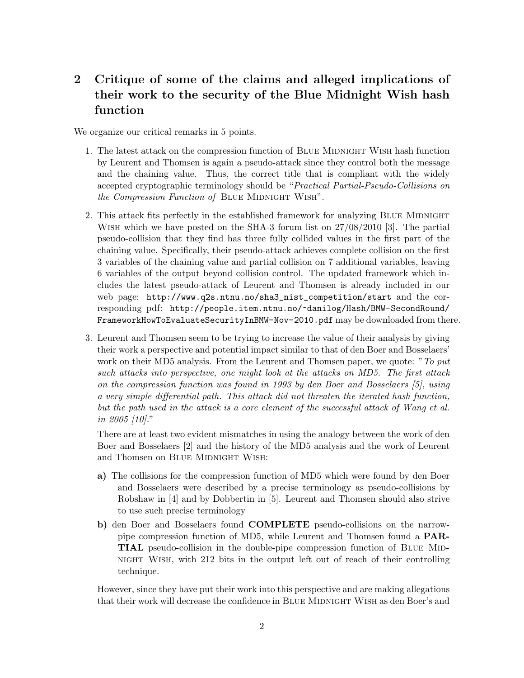## **2 Critique of some of the claims and alleged implications of their work to the security of the Blue Midnight Wish hash function**

We organize our critical remarks in 5 points.

- 1. The latest attack on the compression function of BLUE MIDNIGHT WISH hash function by Leurent and Thomsen is again a pseudo-attack since they control both the message and the chaining value. Thus, the correct title that is compliant with the widely accepted cryptographic terminology should be "*Practical Partial-Pseudo-Collisions on the Compression Function of BLUE MIDNIGHT WISH"*.
- 2. This attack fits perfectly in the established framework for analyzing BLUE MIDNIGHT Wish which we have posted on the SHA-3 forum list on 27/08/2010 [3]. The partial pseudo-collision that they find has three fully collided values in the first part of the chaining value. Specifically, their pseudo-attack achieves complete collision on the first 3 variables of the chaining value and partial collision on 7 additional variables, leaving 6 variables of the output beyond collision control. The updated framework which includes the latest pseudo-attack of Leurent and Thomsen is already included in our web page: http://www.q2s.ntnu.no/sha3\_nist\_competition/start and the corresponding pdf: http://people.item.ntnu.no/~danilog/Hash/BMW-SecondRound/ FrameworkHowToEvaluateSecurityInBMW-Nov-2010.pdf may be downloaded from there.
- 3. Leurent and Thomsen seem to be trying to increase the value of their analysis by giving their work a perspective and potential impact similar to that of den Boer and Bosselaers' work on their MD5 analysis. From the Leurent and Thomsen paper, we quote: "*To put such attacks into perspective, one might look at the attacks on MD5. The first attack on the compression function was found in 1993 by den Boer and Bosselaers [5], using a very simple differential path. This attack did not threaten the iterated hash function, but the path used in the attack is a core element of the successful attack of Wang et al. in 2005 [10].*"

There are at least two evident mismatches in using the analogy between the work of den Boer and Bosselaers [2] and the history of the MD5 analysis and the work of Leurent and Thomsen on BLUE MIDNIGHT WISH:

- **a)** The collisions for the compression function of MD5 which were found by den Boer and Bosselaers were described by a precise terminology as pseudo-collisions by Robshaw in [4] and by Dobbertin in [5]. Leurent and Thomsen should also strive to use such precise terminology
- **b)** den Boer and Bosselaers found **COMPLETE** pseudo-collisions on the narrowpipe compression function of MD5, while Leurent and Thomsen found a **PAR-TIAL** pseudo-collision in the double-pipe compression function of BLUE MIDnight Wish, with 212 bits in the output left out of reach of their controlling technique.

However, since they have put their work into this perspective and are making allegations that their work will decrease the confidence in BLUE MIDNIGHT WISH as den Boer's and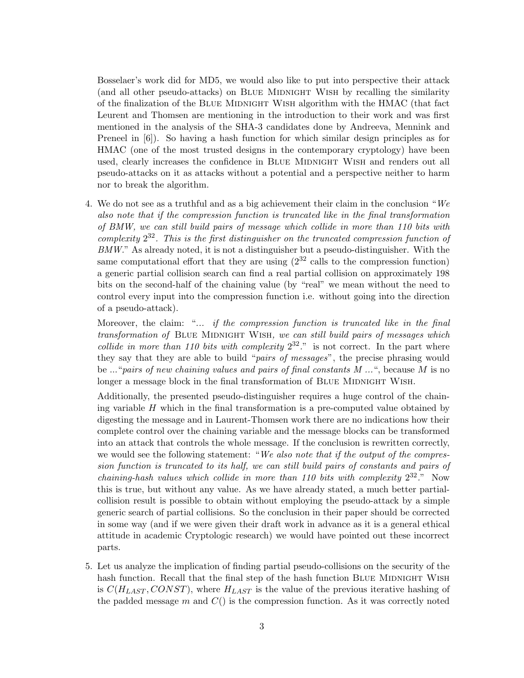Bosselaer's work did for MD5, we would also like to put into perspective their attack (and all other pseudo-attacks) on BLUE MIDNIGHT WISH by recalling the similarity of the finalization of the BLUE MIDNIGHT WISH algorithm with the HMAC (that fact Leurent and Thomsen are mentioning in the introduction to their work and was first mentioned in the analysis of the SHA-3 candidates done by Andreeva, Mennink and Preneel in [6]). So having a hash function for which similar design principles as for HMAC (one of the most trusted designs in the contemporary cryptology) have been used, clearly increases the confidence in BLUE MIDNIGHT WISH and renders out all pseudo-attacks on it as attacks without a potential and a perspective neither to harm nor to break the algorithm.

4. We do not see as a truthful and as a big achievement their claim in the conclusion "*We also note that if the compression function is truncated like in the final transformation of BMW, we can still build pairs of message which collide in more than 110 bits with complexity* 2 <sup>32</sup>*. This is the first distinguisher on the truncated compression function of BMW.*" As already noted, it is not a distinguisher but a pseudo-distinguisher. With the same computational effort that they are using  $(2^{32} \text{ calls to the compression function})$ a generic partial collision search can find a real partial collision on approximately 198 bits on the second-half of the chaining value (by "real" we mean without the need to control every input into the compression function i.e. without going into the direction of a pseudo-attack).

Moreover, the claim: "*... if the compression function is truncated like in the final transformation of* Blue Midnight Wish*, we can still build pairs of messages which collide in more than 110 bits with complexity*  $2^{32}$ ." is not correct. In the part where they say that they are able to build "*pairs of messages*", the precise phrasing would be ..."*pairs of new chaining values and pairs of final constants M ...*", because *M* is no longer a message block in the final transformation of BLUE MIDNIGHT WISH.

Additionally, the presented pseudo-distinguisher requires a huge control of the chaining variable *H* which in the final transformation is a pre-computed value obtained by digesting the message and in Laurent-Thomsen work there are no indications how their complete control over the chaining variable and the message blocks can be transformed into an attack that controls the whole message. If the conclusion is rewritten correctly, we would see the following statement: "*We also note that if the output of the compression function is truncated to its half, we can still build pairs of constants and pairs of chaining-hash values which collide in more than 110 bits with complexity*  $2^{32}$ ." Now this is true, but without any value. As we have already stated, a much better partialcollision result is possible to obtain without employing the pseudo-attack by a simple generic search of partial collisions. So the conclusion in their paper should be corrected in some way (and if we were given their draft work in advance as it is a general ethical attitude in academic Cryptologic research) we would have pointed out these incorrect parts.

5. Let us analyze the implication of finding partial pseudo-collisions on the security of the hash function. Recall that the final step of the hash function BLUE MIDNIGHT WISH is  $C(H_{LAST}, CONST)$ , where  $H_{LAST}$  is the value of the previous iterative hashing of the padded message *m* and *C*() is the compression function. As it was correctly noted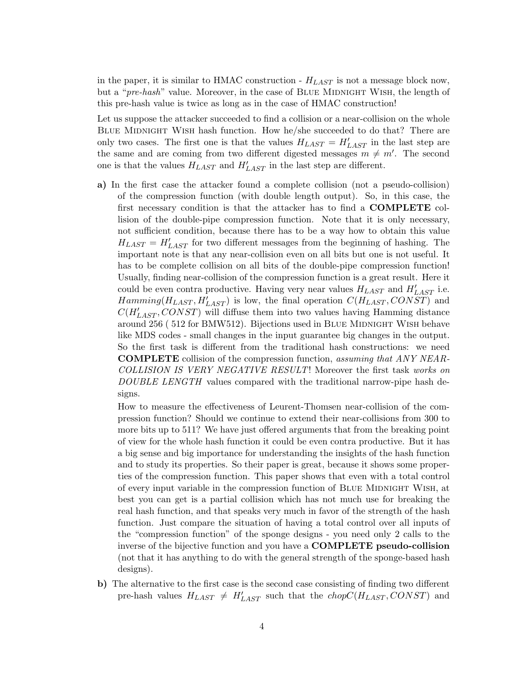in the paper, it is similar to HMAC construction - *HLAST* is not a message block now, but a "*pre-hash*" value. Moreover, in the case of BLUE MIDNIGHT WISH, the length of this pre-hash value is twice as long as in the case of HMAC construction!

Let us suppose the attacker succeeded to find a collision or a near-collision on the whole BLUE MIDNIGHT WISH hash function. How he/she succeeded to do that? There are only two cases. The first one is that the values  $H_{LAST} = H'_{LAST}$  in the last step are the same and are coming from two different digested messages  $m \neq m'$ . The second one is that the values  $H_{LAST}$  and  $H'_{LAST}$  in the last step are different.

**a)** In the first case the attacker found a complete collision (not a pseudo-collision) of the compression function (with double length output). So, in this case, the first necessary condition is that the attacker has to find a **COMPLETE** collision of the double-pipe compression function. Note that it is only necessary, not sufficient condition, because there has to be a way how to obtain this value  $H_{LAST} = H'_{LAST}$  for two different messages from the beginning of hashing. The important note is that any near-collision even on all bits but one is not useful. It has to be complete collision on all bits of the double-pipe compression function! Usually, finding near-collision of the compression function is a great result. Here it could be even contra productive. Having very near values *HLAST* and *H′ LAST* i.e.  $Hamming(H_{LAST}, H'_{LAST})$  is low, the final operation  $C(H_{LAST}, CONST)$  and  $C(H'_{LAST}, CONST)$  will diffuse them into two values having Hamming distance around 256 ( 512 for BMW512). Bijections used in Blue Midnight Wish behave like MDS codes - small changes in the input guarantee big changes in the output. So the first task is different from the traditional hash constructions: we need **COMPLETE** collision of the compression function, *assuming that ANY NEAR-COLLISION IS VERY NEGATIVE RESULT*! Moreover the first task *works on DOUBLE LENGTH* values compared with the traditional narrow-pipe hash designs.

How to measure the effectiveness of Leurent-Thomsen near-collision of the compression function? Should we continue to extend their near-collisions from 300 to more bits up to 511? We have just offered arguments that from the breaking point of view for the whole hash function it could be even contra productive. But it has a big sense and big importance for understanding the insights of the hash function and to study its properties. So their paper is great, because it shows some properties of the compression function. This paper shows that even with a total control of every input variable in the compression function of BLUE MIDNIGHT WISH, at best you can get is a partial collision which has not much use for breaking the real hash function, and that speaks very much in favor of the strength of the hash function. Just compare the situation of having a total control over all inputs of the "compression function" of the sponge designs - you need only 2 calls to the inverse of the bijective function and you have a **COMPLETE pseudo-collision** (not that it has anything to do with the general strength of the sponge-based hash designs).

**b)** The alternative to the first case is the second case consisting of finding two different pre-hash values  $H_{LAST} \neq H'_{LAST}$  such that the  $chopC(H_{LAST}, CONST)$  and